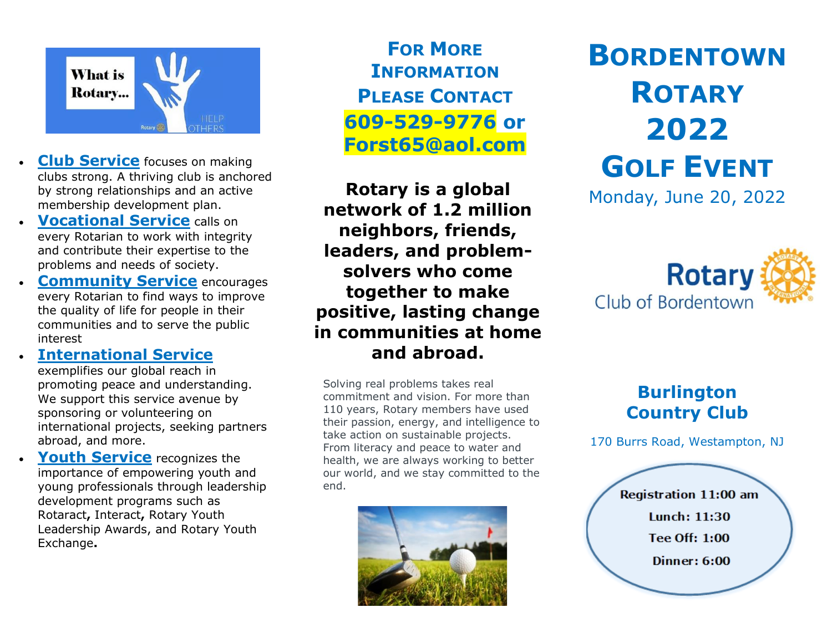

- **Club Service** focuses on making clubs strong. A thriving club is anchored by strong relationships and an active membership development plan.
- **Vocational Service calls on** every Rotarian to work with integrity and contribute their expertise to the problems and needs of society.
- **Community Service** encourages every Rotarian to find ways to improve the quality of life for people in their communities and to serve the public interest
	- **International Service** exemplifies our global reach in promoting peace and understanding. We support this service avenue by sponsoring or volunteering on international projects, seeking partners abroad, and more.
- **Youth Service** recognizes the importance of empowering youth and young professionals through leadership development programs such as [Rotaract](https://my.rotary.org/en/take-action/empower-leaders/sponsor-rotaract-club)**,** [Interact](https://my.rotary.org/en/take-action/empower-leaders/sponsor-interact-club)**,** [Rotary Youth](https://my.rotary.org/en/take-action/empower-leaders/organize-ryla-event)  [Leadership Awards,](https://my.rotary.org/en/take-action/empower-leaders/organize-ryla-event) and [Rotary Youth](https://my.rotary.org/en/take-action/empower-leaders/start-exchange)  [Exchange](https://my.rotary.org/en/take-action/empower-leaders/start-exchange)**.**

**FOR MORE INFORMATION PLEASE CONTACT 609-529-9776 or Forst65@aol.com**

**Rotary is a global network of 1.2 million neighbors, friends, leaders, and problemsolvers who come together to make positive, lasting change in communities at home and abroad.**

Solving real problems takes real commitment and vision. For more than 110 years, Rotary members have used their passion, energy, and intelligence to take action on sustainable projects. From literacy and peace to water and health, we are always working to better our world, and we stay committed to the end.



# **BORDENTOWN ROTARY 2022 GOLF EVENT**

Monday, June 20, 2022



#### **Burlington Country Club**

170 Burrs Road, Westampton, NJ